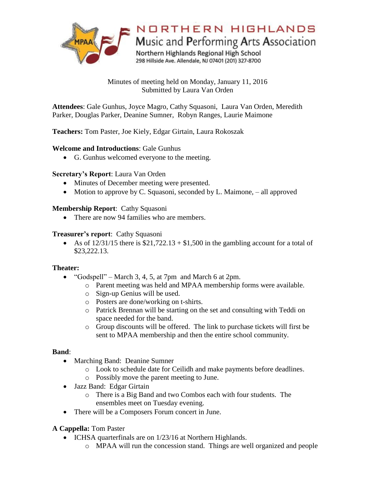

Minutes of meeting held on Monday, January 11, 2016 Submitted by Laura Van Orden

**Attendees**: Gale Gunhus, Joyce Magro, Cathy Squasoni, Laura Van Orden, Meredith Parker, Douglas Parker, Deanine Sumner, Robyn Ranges, Laurie Maimone

**Teachers:** Tom Paster, Joe Kiely, Edgar Girtain, Laura Rokoszak

# **Welcome and Introductions**: Gale Gunhus

G. Gunhus welcomed everyone to the meeting.

### **Secretary's Report**: Laura Van Orden

- Minutes of December meeting were presented.
- Motion to approve by C. Squasoni, seconded by L. Maimone, all approved

# **Membership Report**: Cathy Squasoni

• There are now 94 families who are members.

### **Treasurer's report**: Cathy Squasoni

As of  $12/31/15$  there is  $$21,722.13 + $1,500$  in the gambling account for a total of \$23,222.13.

### **Theater:**

- "Godspell" March 3, 4, 5, at 7pm and March 6 at 2pm.
	- o Parent meeting was held and MPAA membership forms were available.
	- o Sign-up Genius will be used.
	- o Posters are done/working on t-shirts.
	- o Patrick Brennan will be starting on the set and consulting with Teddi on space needed for the band.
	- o Group discounts will be offered. The link to purchase tickets will first be sent to MPAA membership and then the entire school community.

### **Band**:

- Marching Band: Deanine Sumner
	- o Look to schedule date for Ceilidh and make payments before deadlines.
	- o Possibly move the parent meeting to June.
- Jazz Band: Edgar Girtain
	- o There is a Big Band and two Combos each with four students. The ensembles meet on Tuesday evening.
- There will be a Composers Forum concert in June.

# **A Cappella:** Tom Paster

- ICHSA quarterfinals are on 1/23/16 at Northern Highlands.
	- o MPAA will run the concession stand. Things are well organized and people